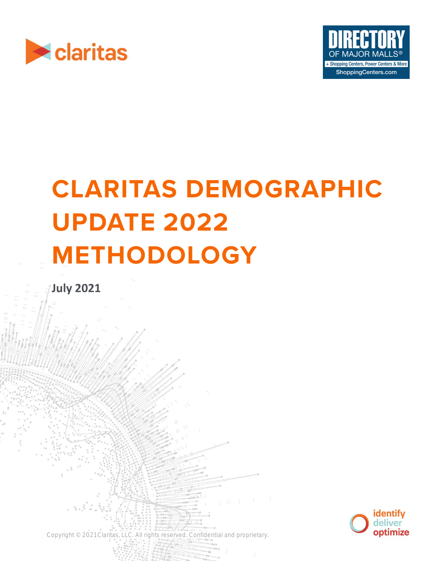



# **CLARITAS DEMOGRAPHIC UPDATE 2022 METHODOLOGY**

Copyright © 2021 Claritas, LLC. All rights reserved. Confidential and proprietary.

**July 2021**

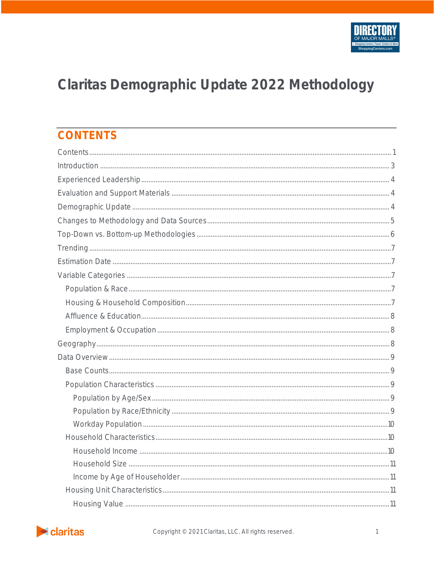# Claritas Demographic Update 2022 Methodology

# <span id="page-1-0"></span>**CONTENTS**

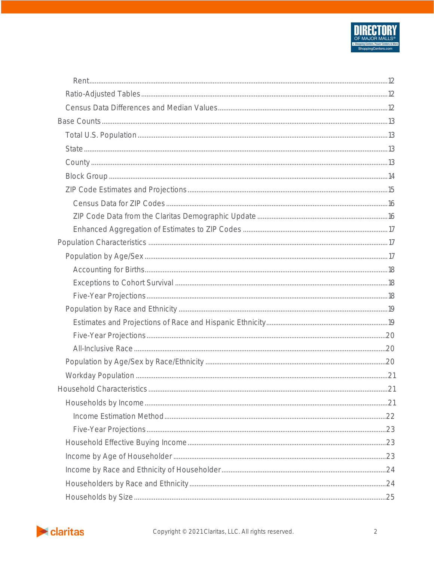

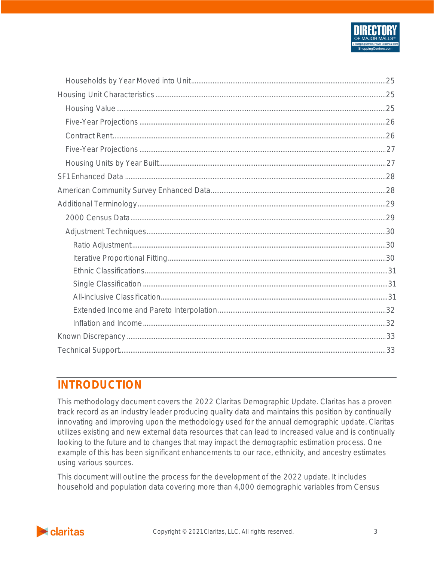

# <span id="page-3-0"></span>**INTRODUCTION**

This methodology document covers the 2022 Claritas Demographic Update. Claritas has a proven track record as an industry leader producing quality data and maintains this position by continually innovating and improving upon the methodology used for the annual demographic update. Claritas utilizes existing and new external data resources that can lead to increased value and is continually looking to the future and to changes that may impact the demographic estimation process. One example of this has been significant enhancements to our race, ethnicity, and ancestry estimates using various sources.

This document will outline the process for the development of the 2022 update. It includes household and population data covering more than 4,000 demographic variables from Census

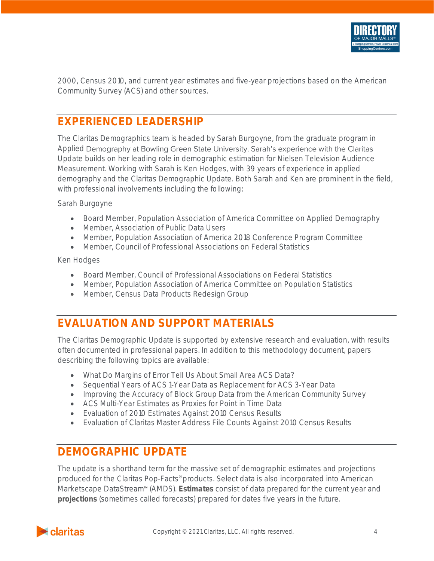

2000, Census 2010, and current year estimates and five-year projections based on the American Community Survey (ACS) and other sources.

# <span id="page-4-0"></span>**EXPERIENCED LEADERSHIP**

The Claritas Demographics team is headed by Sarah Burgoyne, from the graduate program in Applied Demography at Bowling Green State University. Sarah's experience with the Claritas Update builds on her leading role in demographic estimation for Nielsen Television Audience Measurement. Working with Sarah is Ken Hodges, with 39 years of experience in applied demography and the Claritas Demographic Update. Both Sarah and Ken are prominent in the field, with professional involvements including the following:

Sarah Burgoyne

- Board Member, Population Association of America Committee on Applied Demography
- Member, Association of Public Data Users
- Member, Population Association of America 2018 Conference Program Committee
- Member, Council of Professional Associations on Federal Statistics

Ken Hodges

- Board Member, Council of Professional Associations on Federal Statistics
- Member, Population Association of America Committee on Population Statistics
- Member, Census Data Products Redesign Group

# <span id="page-4-1"></span>**EVALUATION AND SUPPORT MATERIALS**

The Claritas Demographic Update is supported by extensive research and evaluation, with results often documented in professional papers. In addition to this methodology document, papers describing the following topics are available:

- What Do Margins of Error Tell Us About Small Area ACS Data?
- Sequential Years of ACS 1-Year Data as Replacement for ACS 3-Year Data
- Improving the Accuracy of Block Group Data from the American Community Survey
- ACS Multi-Year Estimates as Proxies for Point in Time Data
- Evaluation of 2010 Estimates Against 2010 Census Results
- Evaluation of Claritas Master Address File Counts Against 2010 Census Results

# <span id="page-4-2"></span>**DEMOGRAPHIC UPDATE**

The update is a shorthand term for the massive set of demographic estimates and projections produced for the Claritas Pop-Facts® products. Select data is also incorporated into American Marketscape DataStream<sup>"</sup> (AMDS). *Estimates* consist of data prepared for the current year and *projections* (sometimes called forecasts) prepared for dates five years in the future.

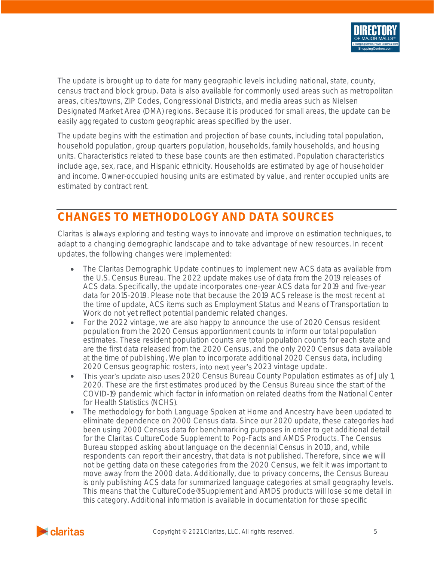

The update is brought up to date for many geographic levels including national, state, county, census tract and block group. Data is also available for commonly used areas such as metropolitan areas, cities/towns, ZIP Codes, Congressional Districts, and media areas such as Nielsen Designated Market Area (DMA) regions. Because it is produced for small areas, the update can be easily aggregated to custom geographic areas specified by the user.

The update begins with the estimation and projection of base counts, including total population, household population, group quarters population, households, family households, and housing units. Characteristics related to these base counts are then estimated. Population characteristics include age, sex, race, and Hispanic ethnicity. Households are estimated by age of householder and income. Owner-occupied housing units are estimated by value, and renter occupied units are estimated by contract rent.

# <span id="page-5-0"></span>**CHANGES TO METHODOLOGY AND DATA SOURCES**

Claritas is always exploring and testing ways to innovate and improve on estimation techniques, to adapt to a changing demographic landscape and to take advantage of new resources. In recent updates, the following changes were implemented:

- The Claritas Demographic Update continues to implement new ACS data as available from the U.S. Census Bureau. The 2022 update makes use of data from the 2019 releases of ACS data. Specifically, the update incorporates one-year ACS data for 2019 and five-year data for 2015-2019. Please note that because the 2019 ACS release is the most recent at the time of update, ACS items such as Employment Status and Means of Transportation to Work do not yet reflect potential pandemic related changes.
- For the 2022 vintage, we are also happy to announce the use of 2020 Census resident population from the 2020 Census apportionment counts to inform our total population estimates. These resident population counts are total population counts for each state and are the first data released from the 2020 Census, and the only 2020 Census data available at the time of publishing. We plan to incorporate additional 2020 Census data, including 2020 Census geographic rosters, into next year's 2023 vintage update.
- This year's update also uses 2020 Census Bureau County Population estimates as of July 1, 2020. These are the first estimates produced by the Census Bureau since the start of the COVID-19 pandemic which factor in information on related deaths from the National Center for Health Statistics (NCHS).
- The methodology for both Language Spoken at Home and Ancestry have been updated to eliminate dependence on 2000 Census data. Since our 2020 update, these categories had been using 2000 Census data for benchmarking purposes in order to get additional detail for the Claritas CultureCode Supplement to Pop-Facts and AMDS Products. The Census Bureau stopped asking about language on the decennial Census in 2010, and, while respondents can report their ancestry, that data is not published. Therefore, since we will not be getting data on these categories from the 2020 Census, we felt it was important to move away from the 2000 data. Additionally, due to privacy concerns, the Census Bureau is only publishing ACS data for summarized language categories at small geography levels. This means that the CultureCode® Supplement and AMDS products will lose some detail in this category. Additional information is available in documentation for those specific

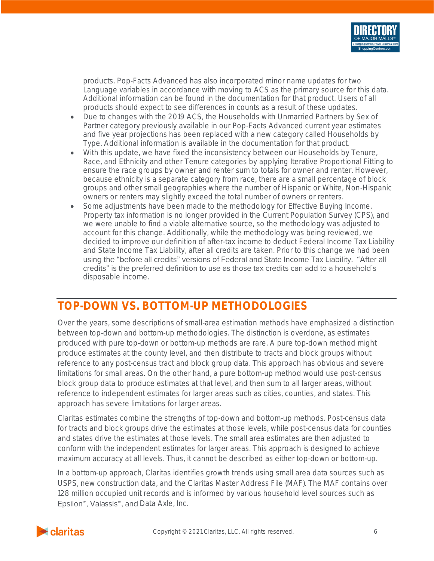

products. Pop-Facts Advanced has also incorporated minor name updates for two Language variables in accordance with moving to ACS as the primary source for this data. Additional information can be found in the documentation for that product. Users of all products should expect to see differences in counts as a result of these updates.

- Due to changes with the 2019 ACS, the Households with Unmarried Partners by Sex of Partner category previously available in our Pop-Facts Advanced current year estimates and five year projections has been replaced with a new category called Households by Type. Additional information is available in the documentation for that product.
- With this update, we have fixed the inconsistency between our Households by Tenure, Race, and Ethnicity and other Tenure categories by applying Iterative Proportional Fitting to ensure the race groups by owner and renter sum to totals for owner and renter. However, because ethnicity is a separate category from race, there are a small percentage of block groups and other small geographies where the number of Hispanic or White, Non-Hispanic owners or renters may slightly exceed the total number of owners or renters.
- Some adjustments have been made to the methodology for Effective Buying Income. Property tax information is no longer provided in the Current Population Survey (CPS), and we were unable to find a viable alternative source, so the methodology was adjusted to account for this change. Additionally, while the methodology was being reviewed, we decided to improve our definition of after-tax income to deduct Federal Income Tax Liability and State Income Tax Liability, after all credits are taken. Prior to this change we had been using the "before all credits" versions of Federal and State Income Tax Liability. "After all credits" is the preferred definition to use as those tax credits can add to a household's disposable income.

# <span id="page-6-0"></span>**TOP-DOWN VS. BOTTOM-UP METHODOLOGIES**

Over the years, some descriptions of small-area estimation methods have emphasized a distinction between top-down and bottom-up methodologies. The distinction is overdone, as estimates produced with pure top-down or bottom-up methods are rare. A pure top-down method might produce estimates at the county level, and then distribute to tracts and block groups without reference to any post-census tract and block group data. This approach has obvious and severe limitations for small areas. On the other hand, a pure bottom-up method would use post-census block group data to produce estimates at that level, and then sum to all larger areas, without reference to independent estimates for larger areas such as cities, counties, and states. This approach has severe limitations for larger areas.

Claritas estimates combine the strengths of top-down and bottom-up methods. Post-census data for tracts and block groups drive the estimates at those levels, while post-census data for counties and states drive the estimates at those levels. The small area estimates are then adjusted to conform with the independent estimates for larger areas. This approach is designed to achieve maximum accuracy at all levels. Thus, it cannot be described as either top-down or bottom-up.

In a bottom-up approach, Claritas identifies growth trends using small area data sources such as USPS, new construction data, and the Claritas Master Address File (MAF). The MAF contains over 128 million occupied unit records and is informed by various household level sources such as Epsilon<sup>™</sup>, Valassis™, and Data Axle, Inc.

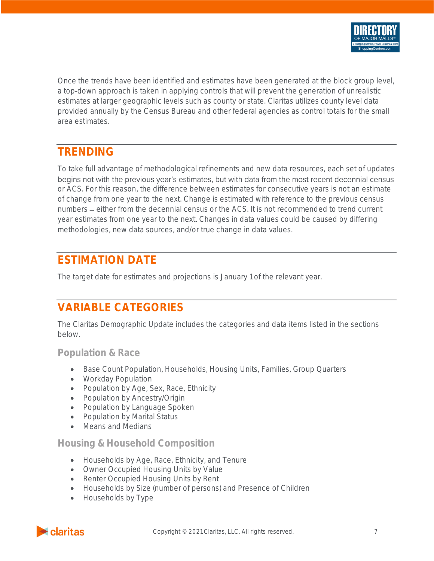

Once the trends have been identified and estimates have been generated at the block group level, a top-down approach is taken in applying controls that will prevent the generation of unrealistic estimates at larger geographic levels such as county or state. Claritas utilizes county level data provided annually by the Census Bureau and other federal agencies as control totals for the small area estimates.

# <span id="page-7-0"></span>**TRENDING**

To take full advantage of methodological refinements and new data resources, each set of updates begins not with the previous year's estimates, but with data from the most recent decennial census or ACS. For this reason, the difference between estimates for consecutive years is not an estimate of change from one year to the next. Change is estimated with reference to the previous census numbers – either from the decennial census or the ACS. It is not recommended to trend current year estimates from one year to the next. Changes in data values could be caused by differing methodologies, new data sources, and/or true change in data values.

# <span id="page-7-1"></span>**ESTIMATION DATE**

<span id="page-7-2"></span>The target date for estimates and projections is January 1 of the relevant year.

# **VARIABLE CATEGORIES**

The Claritas Demographic Update includes the categories and data items listed in the sections below.

<span id="page-7-3"></span>**Population & Race**

- Base Count Population, Households, Housing Units, Families, Group Quarters
- Workday Population
- Population by Age, Sex, Race, Ethnicity
- Population by Ancestry/Origin
- Population by Language Spoken
- Population by Marital Status
- Means and Medians

### <span id="page-7-4"></span>**Housing & Household Composition**

- Households by Age, Race, Ethnicity, and Tenure
- Owner Occupied Housing Units by Value
- Renter Occupied Housing Units by Rent
- Households by Size (number of persons) and Presence of Children
- Households by Type

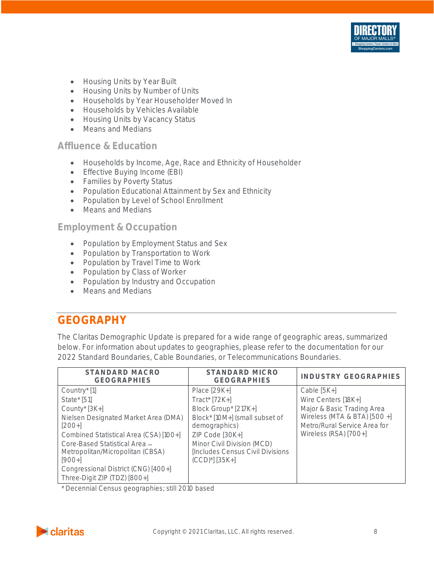

- Housing Units by Year Built
- Housing Units by Number of Units
- Households by Year Householder Moved In
- Households by Vehicles Available
- Housing Units by Vacancy Status
- Means and Medians

### <span id="page-8-0"></span>**Affluence & Education**

- Households by Income, Age, Race and Ethnicity of Householder
- Effective Buying Income (EBI)
- Families by Poverty Status
- Population Educational Attainment by Sex and Ethnicity
- Population by Level of School Enrollment
- Means and Medians

### <span id="page-8-1"></span>**Employment & Occupation**

- Population by Employment Status and Sex
- Population by Transportation to Work
- Population by Travel Time to Work
- Population by Class of Worker
- Population by Industry and Occupation
- Means and Medians

# <span id="page-8-2"></span>**GEOGRAPHY**

The Claritas Demographic Update is prepared for a wide range of geographic areas, summarized below. For information about updates to geographies, please refer to the documentation for our 2022 Standard Boundaries, Cable Boundaries, or Telecommunications Boundaries.

| STANDARD MACRO<br><b>GEOGRAPHIES</b>                                                                                                                                                                                                                                                                        | STANDARD MICRO<br><b>GEOGRAPHIES</b>                                                                                                                                                                                   | INDUSTRY GEOGRAPHIES                                                                                                                                        |
|-------------------------------------------------------------------------------------------------------------------------------------------------------------------------------------------------------------------------------------------------------------------------------------------------------------|------------------------------------------------------------------------------------------------------------------------------------------------------------------------------------------------------------------------|-------------------------------------------------------------------------------------------------------------------------------------------------------------|
| Country* [1]<br>State $\frac{1}{51}$<br>County* [3K+]<br>Nielsen Designated Market Area (DMA)<br>$[200+]$<br>Combined Statistical Area (CSA) [100+]<br>Core-Based Statistical Area -<br>Metropolitan/Micropolitan (CBSA)<br>$[900+]$<br>Congressional District (CNG) [400+]<br>Three-Digit ZIP (TDZ) [800+] | Place $[29K+]$<br>Tract* [72K+]<br>Block Group* [217K+]<br>Block* [10M+] (small subset of<br>demographics)<br>ZIP Code [30K+]<br>Minor Civil Division (MCD)<br>Includes Census Civil Divisions<br>$(CCD)^{*}$ ] [35K+] | Cable $[5K+]$<br>Wire Centers [18K+]<br>Major & Basic Trading Area<br>Wireless (MTA & BTA) [500 +]<br>Metro/Rural Service Area for<br>Wireless (RSA) [700+] |

\* Decennial Census geographies; still 2010 based

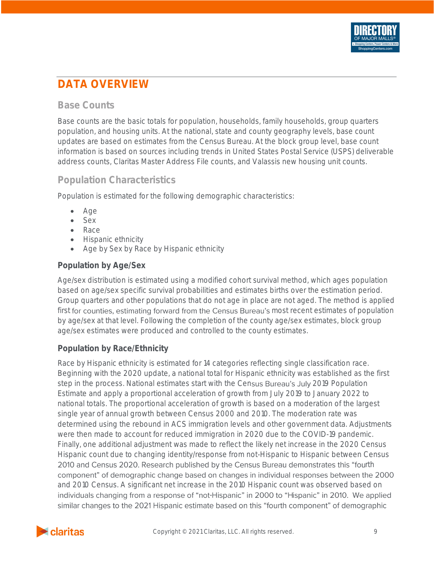

# <span id="page-9-0"></span>**DATA OVERVIEW**

### <span id="page-9-1"></span>**Base Counts**

Base counts are the basic totals for population, households, family households, group quarters population, and housing units. At the national, state and county geography levels, base count updates are based on estimates from the Census Bureau. At the block group level, base count information is based on sources including trends in United States Postal Service (USPS) deliverable address counts, Claritas Master Address File counts, and Valassis new housing unit counts.

# <span id="page-9-2"></span>**Population Characteristics**

Population is estimated for the following demographic characteristics:

- Age
- Sex
- Race
- Hispanic ethnicity
- Age by Sex by Race by Hispanic ethnicity

#### <span id="page-9-3"></span>**Population by Age/Sex**

Age/sex distribution is estimated using a modified cohort survival method, which ages population based on age/sex specific survival probabilities and estimates births over the estimation period. Group quarters and other populations that do not age in place are not aged. The method is applied first for counties, estimating forward from the Census Bureau's most recent estimates of population by age/sex at that level. Following the completion of the county age/sex estimates, block group age/sex estimates were produced and controlled to the county estimates.

#### <span id="page-9-4"></span>**Population by Race/Ethnicity**

Race by Hispanic ethnicity is estimated for 14 categories reflecting single classification race. Beginning with the 2020 update, a national total for Hispanic ethnicity was established as the first step in the process. National estimates start with the Census Bureau's July 2019 Population Estimate and apply a proportional acceleration of growth from July 2019 to January 2022 to national totals. The proportional acceleration of growth is based on a moderation of the largest single year of annual growth between Census 2000 and 2010. The moderation rate was determined using the rebound in ACS immigration levels and other government data. Adjustments were then made to account for reduced immigration in 2020 due to the COVID-19 pandemic. Finally, one additional adjustment was made to reflect the likely net increase in the 2020 Census Hispanic count due to changing identity/response from not-Hispanic to Hispanic between Census 2010 and Census 2020. Research published by the Census Bureau demonstrates this "fourth component" of demographic change based on changes in individual responses between the 2000 and 2010 Census. A significant net increase in the 2010 Hispanic count was observed based on individuals changing from a response of "not-Hispanic" in 2000 to "Hispanic" in 2010. We applied similar changes to the 2021 Hispanic estimate based on this "fourth component" of demographic

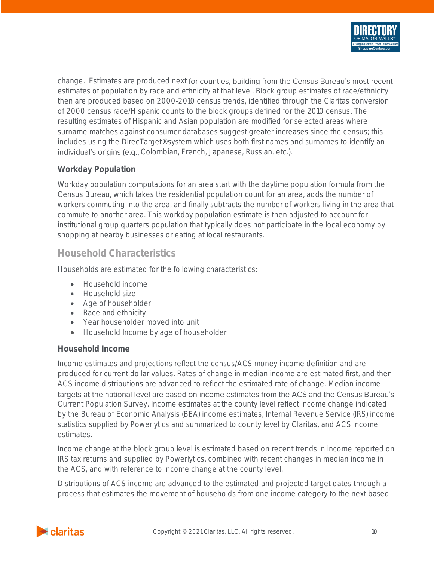

change. Estimates are produced next for counties, building from the Census Bureau's most recent estimates of population by race and ethnicity at that level. Block group estimates of race/ethnicity then are produced based on 2000-2010 census trends, identified through the Claritas conversion of 2000 census race/Hispanic counts to the block groups defined for the 2010 census. The resulting estimates of Hispanic and Asian population are modified for selected areas where surname matches against consumer databases suggest greater increases since the census; this includes using the DirecTarget® system which uses both first names and surnames to identify an individual's origins (e.g., Colombian, French, Japanese, Russian, etc.).

#### <span id="page-10-0"></span>**Workday Population**

Workday population computations for an area start with the daytime population formula from the Census Bureau, which takes the residential population count for an area, adds the number of workers commuting into the area, and finally subtracts the number of workers living in the area that commute to another area. This workday population estimate is then adjusted to account for institutional group quarters population that typically does not participate in the local economy by shopping at nearby businesses or eating at local restaurants.

### <span id="page-10-1"></span>**Household Characteristics**

Households are estimated for the following characteristics:

- Household income
- Household size
- Age of householder
- Race and ethnicity
- Year householder moved into unit
- Household Income by age of householder

#### <span id="page-10-2"></span>**Household Income**

Income estimates and projections reflect the census/ACS money income definition and are produced for current dollar values. Rates of change in median income are estimated first, and then ACS income distributions are advanced to reflect the estimated rate of change. Median income targets at the national level are based on income estimates from the ACS and the Census Bureau's Current Population Survey. Income estimates at the county level reflect income change indicated by the Bureau of Economic Analysis (BEA) income estimates, Internal Revenue Service (IRS) income statistics supplied by Powerlytics and summarized to county level by Claritas, and ACS income estimates.

Income change at the block group level is estimated based on recent trends in income reported on IRS tax returns and supplied by Powerlytics, combined with recent changes in median income in the ACS, and with reference to income change at the county level.

Distributions of ACS income are advanced to the estimated and projected target dates through a process that estimates the movement of households from one income category to the next based

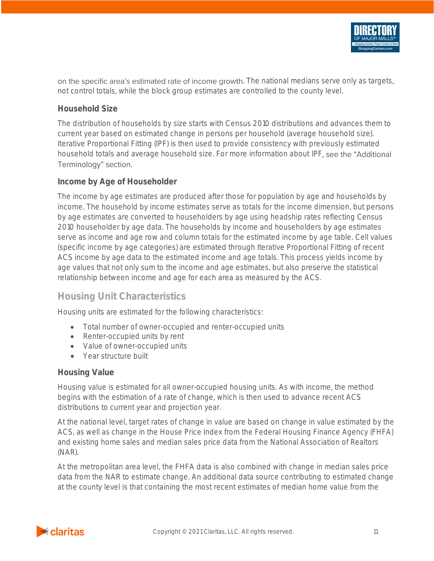

#### <span id="page-11-0"></span>**Household Size**

The distribution of households by size starts with Census 2010 distributions and advances them to current year based on estimated change in persons per household (average household size). Iterative Proportional Fitting (IPF) is then used to provide consistency with previously estimated household totals and average household size. For more information about IPF, see the "Additional Terminology" section.

#### <span id="page-11-1"></span>**Income by Age of Householder**

The income by age estimates are produced after those for population by age and households by income. The household by income estimates serve as totals for the income dimension, but persons by age estimates are converted to householders by age using headship rates reflecting Census 2010 householder by age data. The households by income and householders by age estimates serve as income and age row and column totals for the estimated income by age table. Cell values (specific income by age categories) are estimated through Iterative Proportional Fitting of recent ACS income by age data to the estimated income and age totals. This process yields income by age values that not only sum to the income and age estimates, but also preserve the statistical relationship between income and age for each area as measured by the ACS.

#### <span id="page-11-2"></span>**Housing Unit Characteristics**

Housing units are estimated for the following characteristics:

- Total number of owner-occupied and renter-occupied units
- Renter-occupied units by rent
- Value of owner-occupied units
- Year structure built

#### <span id="page-11-3"></span>**Housing Value**

Housing value is estimated for all owner-occupied housing units. As with income, the method begins with the estimation of a rate of change, which is then used to advance recent ACS distributions to current year and projection year.

At the national level, target rates of change in value are based on change in value estimated by the ACS, as well as change in the House Price Index from the Federal Housing Finance Agency (FHFA) and existing home sales and median sales price data from the National Association of Realtors (NAR).

At the metropolitan area level, the FHFA data is also combined with change in median sales price data from the NAR to estimate change. An additional data source contributing to estimated change at the county level is that containing the most recent estimates of median home value from the

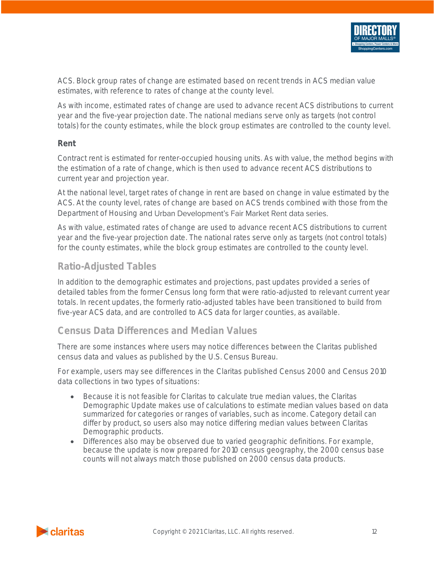

ACS. Block group rates of change are estimated based on recent trends in ACS median value estimates, with reference to rates of change at the county level.

As with income, estimated rates of change are used to advance recent ACS distributions to current year and the five-year projection date. The national medians serve only as targets (not control totals) for the county estimates, while the block group estimates are controlled to the county level.

#### <span id="page-12-0"></span>**Rent**

Contract rent is estimated for renter-occupied housing units. As with value, the method begins with the estimation of a rate of change, which is then used to advance recent ACS distributions to current year and projection year.

At the national level, target rates of change in rent are based on change in value estimated by the ACS. At the county level, rates of change are based on ACS trends combined with those from the Department of Housing and Urban Development's Fair Market Rent data series.

As with value, estimated rates of change are used to advance recent ACS distributions to current year and the five-year projection date. The national rates serve only as targets (not control totals) for the county estimates, while the block group estimates are controlled to the county level.

### <span id="page-12-1"></span>**Ratio-Adjusted Tables**

In addition to the demographic estimates and projections, past updates provided a series of detailed tables from the former Census long form that were ratio-adjusted to relevant current year totals. In recent updates, the formerly ratio-adjusted tables have been transitioned to build from five-year ACS data, and are controlled to ACS data for larger counties, as available.

### <span id="page-12-2"></span>**Census Data Differences and Median Values**

There are some instances where users may notice differences between the Claritas published census data and values as published by the U.S. Census Bureau.

For example, users may see differences in the Claritas published Census 2000 and Census 2010 data collections in two types of situations:

- Because it is not feasible for Claritas to calculate true median values, the Claritas Demographic Update makes use of calculations to estimate median values based on data summarized for categories or ranges of variables, such as income. Category detail can differ by product, so users also may notice differing median values between Claritas Demographic products.
- Differences also may be observed due to varied geographic definitions. For example, because the update is now prepared for 2010 census geography, the 2000 census base counts will not always match those published on 2000 census data products.

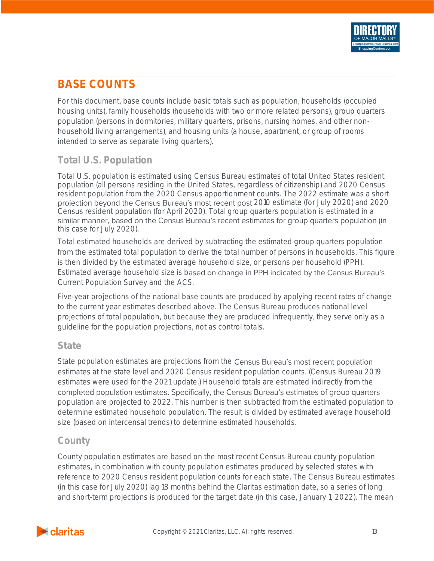# <span id="page-13-0"></span>**BASE COUNTS**

For this document, base counts include basic totals such as population, households (occupied housing units), family households (households with two or more related persons), group quarters population (persons in dormitories, military quarters, prisons, nursing homes, and other nonhousehold living arrangements), and housing units (a house, apartment, or group of rooms intended to serve as separate living quarters).

# <span id="page-13-1"></span>**Total U.S. Population**

Total U.S. population is estimated using Census Bureau estimates of total United States resident population (all persons residing in the United States, regardless of citizenship) and 2020 Census resident population from the 2020 Census apportionment counts. The 2022 estimate was a short projection beyond the Census Bureau's most recent post 2010 estimate (for July 2020) and 2020 Census resident population (for April 2020). Total group quarters population is estimated in a similar manner, based on the Census Bureau's recent estimates for group quarters population (in this case for July 2020).

Total estimated households are derived by subtracting the estimated group quarters population from the estimated total population to derive the total number of persons in households. This figure is then divided by the estimated average household size, or persons per household (PPH). Estimated average household size is based on change in PPH indicated by the Census Bureau's Current Population Survey and the ACS.

Five-year projections of the national base counts are produced by applying recent rates of change to the current year estimates described above. The Census Bureau produces national level projections of total population, but because they are produced infrequently, they serve only as a guideline for the population projections, not as control totals.

### <span id="page-13-2"></span>**State**

State population estimates are projections from the Census Bureau's most recent population estimates at the state level and 2020 Census resident population counts. (Census Bureau 2019 estimates were used for the 2021 update.) Household totals are estimated indirectly from the completed population estimates. Specifically, the Census Bureau's estimates of group quarters population are projected to 2022. This number is then subtracted from the estimated population to determine estimated household population. The result is divided by estimated average household size (based on intercensal trends) to determine estimated households.

# <span id="page-13-3"></span>**County**

County population estimates are based on the most recent Census Bureau county population estimates, in combination with county population estimates produced by selected states with reference to 2020 Census resident population counts for each state. The Census Bureau estimates (in this case for July 2020) lag 18 months behind the Claritas estimation date, so a series of long and short-term projections is produced for the target date (in this case, January 1, 2022). The mean

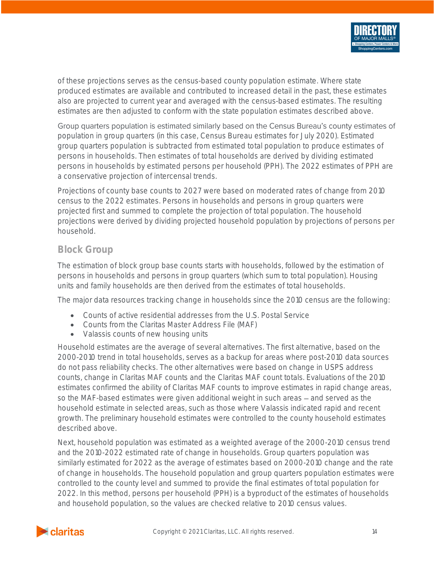

of these projections serves as the census-based county population estimate. Where state produced estimates are available and contributed to increased detail in the past, these estimates also are projected to current year and averaged with the census-based estimates. The resulting estimates are then adjusted to conform with the state population estimates described above.

Group quarters population is estimated similarly based on the Census Bureau's county estimates of population in group quarters (in this case, Census Bureau estimates for July 2020). Estimated group quarters population is subtracted from estimated total population to produce estimates of persons in households. Then estimates of total households are derived by dividing estimated persons in households by estimated persons per household (PPH). The 2022 estimates of PPH are a conservative projection of intercensal trends.

Projections of county base counts to 2027 were based on moderated rates of change from 2010 census to the 2022 estimates. Persons in households and persons in group quarters were projected first and summed to complete the projection of total population. The household projections were derived by dividing projected household population by projections of persons per household.

### <span id="page-14-0"></span>**Block Group**

The estimation of block group base counts starts with households, followed by the estimation of persons in households and persons in group quarters (which sum to total population). Housing units and family households are then derived from the estimates of total households.

The major data resources tracking change in households since the 2010 census are the following:

- Counts of active residential addresses from the U.S. Postal Service
- Counts from the Claritas Master Address File (MAF)
- Valassis counts of new housing units

Household estimates are the average of several alternatives. The first alternative, based on the 2000-2010 trend in total households, serves as a backup for areas where post-2010 data sources do not pass reliability checks. The other alternatives were based on change in USPS address counts, change in Claritas MAF counts and the Claritas MAF count totals. Evaluations of the 2010 estimates confirmed the ability of Claritas MAF counts to improve estimates in rapid change areas, so the MAF-based estimates were given additional weight in such areas – and served as the household estimate in selected areas, such as those where Valassis indicated rapid and recent growth. The preliminary household estimates were controlled to the county household estimates described above.

Next, household population was estimated as a weighted average of the 2000-2010 census trend and the 2010-2022 estimated rate of change in households. Group quarters population was similarly estimated for 2022 as the average of estimates based on 2000-2010 change and the rate of change in households. The household population and group quarters population estimates were controlled to the county level and summed to provide the final estimates of total population for 2022. In this method, persons per household (PPH) is a byproduct of the estimates of households and household population, so the values are checked relative to 2010 census values.

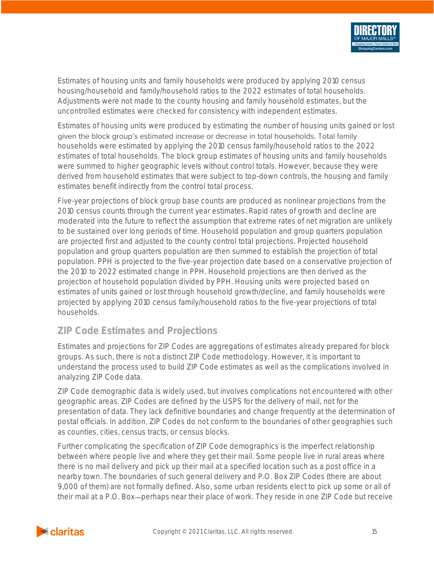

Estimates of housing units and family households were produced by applying 2010 census housing/household and family/household ratios to the 2022 estimates of total households. Adjustments were not made to the county housing and family household estimates, but the uncontrolled estimates were checked for consistency with independent estimates.

Estimates of housing units were produced by estimating the number of housing units gained or lost given the block group's estimated increase or decrease in total households. Total family households were estimated by applying the 2010 census family/household ratios to the 2022 estimates of total households. The block group estimates of housing units and family households were summed to higher geographic levels without control totals. However, because they were derived from household estimates that were subject to top-down controls, the housing and family estimates benefit indirectly from the control total process.

Five-year projections of block group base counts are produced as nonlinear projections from the 2010 census counts through the current year estimates. Rapid rates of growth and decline are moderated into the future to reflect the assumption that extreme rates of net migration are unlikely to be sustained over long periods of time. Household population and group quarters population are projected first and adjusted to the county control total projections. Projected household population and group quarters population are then summed to establish the projection of total population. PPH is projected to the five-year projection date based on a conservative projection of the 2010 to 2022 estimated change in PPH. Household projections are then derived as the projection of household population divided by PPH. Housing units were projected based on estimates of units gained or lost through household growth/decline, and family households were projected by applying 2010 census family/household ratios to the five-year projections of total households.

# <span id="page-15-0"></span>**ZIP Code Estimates and Projections**

Estimates and projections for ZIP Codes are aggregations of estimates already prepared for block groups. As such, there is not a distinct ZIP Code methodology. However, it is important to understand the process used to build ZIP Code estimates as well as the complications involved in analyzing ZIP Code data.

ZIP Code demographic data is widely used, but involves complications not encountered with other geographic areas. ZIP Codes are defined by the USPS for the delivery of mail, not for the presentation of data. They lack definitive boundaries and change frequently at the determination of postal officials. In addition, ZIP Codes do not conform to the boundaries of other geographies such as counties, cities, census tracts, or census blocks.

Further complicating the specification of ZIP Code demographics is the imperfect relationship between where people live and where they get their mail. Some people live in rural areas where there is no mail delivery and pick up their mail at a specified location such as a post office in a nearby town. The boundaries of such general delivery and P.O. Box ZIP Codes (there are about 9,000 of them) are not formally defined. Also, some urban residents elect to pick up some or all of their mail at a P.O. Box-perhaps near their place of work. They reside in one ZIP Code but receive

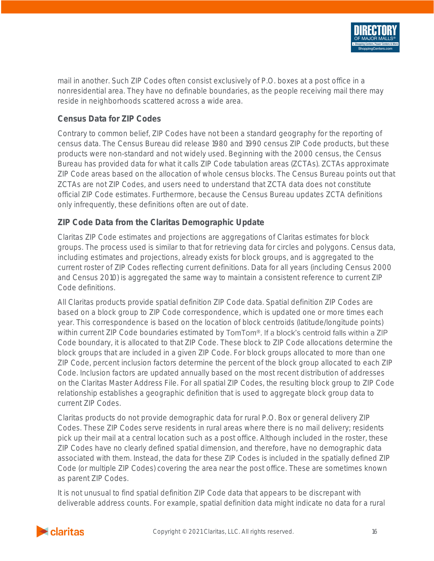

mail in another. Such ZIP Codes often consist exclusively of P.O. boxes at a post office in a nonresidential area. They have no definable boundaries, as the people receiving mail there may reside in neighborhoods scattered across a wide area.

#### <span id="page-16-0"></span>**Census Data for ZIP Codes**

Contrary to common belief, ZIP Codes have not been a standard geography for the reporting of census data. The Census Bureau did release 1980 and 1990 census ZIP Code products, but these products were non-standard and not widely used. Beginning with the 2000 census, the Census Bureau has provided data for what it calls ZIP Code tabulation areas (ZCTAs). ZCTAs approximate ZIP Code areas based on the allocation of whole census blocks. The Census Bureau points out that ZCTAs are not ZIP Codes, and users need to understand that ZCTA data does not constitute official ZIP Code estimates. Furthermore, because the Census Bureau updates ZCTA definitions only infrequently, these definitions often are out of date.

#### <span id="page-16-1"></span>**ZIP Code Data from the Claritas Demographic Update**

Claritas ZIP Code estimates and projections are aggregations of Claritas estimates for block groups. The process used is similar to that for retrieving data for circles and polygons. Census data, including estimates and projections, already exists for block groups, and is aggregated to the current roster of ZIP Codes reflecting current definitions. Data for all years (including Census 2000 and Census 2010) is aggregated the same way to maintain a consistent reference to current ZIP Code definitions.

All Claritas products provide spatial definition ZIP Code data. Spatial definition ZIP Codes are based on a block group to ZIP Code correspondence, which is updated one or more times each year. This correspondence is based on the location of block centroids (latitude/longitude points) within current ZIP Code boundaries estimated by TomTom®. If a block's centroid falls within a ZIP Code boundary, it is allocated to that ZIP Code. These block to ZIP Code allocations determine the block groups that are included in a given ZIP Code. For block groups allocated to more than one ZIP Code, percent inclusion factors determine the percent of the block group allocated to each ZIP Code. Inclusion factors are updated annually based on the most recent distribution of addresses on the Claritas Master Address File. For all spatial ZIP Codes, the resulting block group to ZIP Code relationship establishes a geographic definition that is used to aggregate block group data to current ZIP Codes.

Claritas products do not provide demographic data for rural P.O. Box or general delivery ZIP Codes. These ZIP Codes serve residents in rural areas where there is no mail delivery; residents pick up their mail at a central location such as a post office. Although included in the roster, these ZIP Codes have no clearly defined spatial dimension, and therefore, have no demographic data associated with them. Instead, the data for these ZIP Codes is included in the spatially defined ZIP Code (or multiple ZIP Codes) covering the area near the post office. These are sometimes known as parent ZIP Codes.

It is not unusual to find spatial definition ZIP Code data that appears to be discrepant with deliverable address counts. For example, spatial definition data might indicate no data for a rural

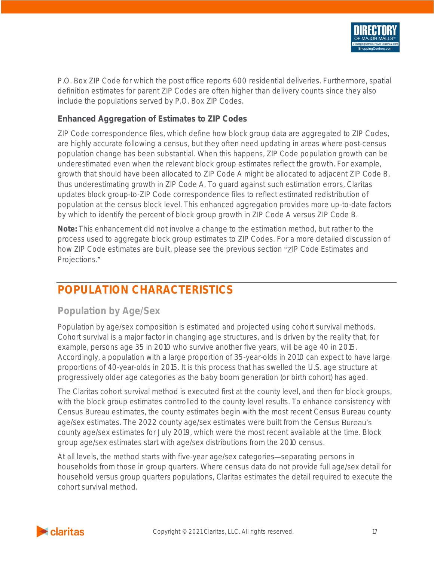

P.O. Box ZIP Code for which the post office reports 600 residential deliveries. Furthermore, spatial definition estimates for parent ZIP Codes are often higher than delivery counts since they also include the populations served by P.O. Box ZIP Codes.

#### <span id="page-17-0"></span>**Enhanced Aggregation of Estimates to ZIP Codes**

ZIP Code correspondence files, which define how block group data are aggregated to ZIP Codes, are highly accurate following a census, but they often need updating in areas where post-census population change has been substantial. When this happens, ZIP Code population growth can be underestimated even when the relevant block group estimates reflect the growth. For example, growth that should have been allocated to ZIP Code A might be allocated to adjacent ZIP Code B, thus underestimating growth in ZIP Code A. To guard against such estimation errors, Claritas updates block group-to-ZIP Code correspondence files to reflect estimated redistribution of population at the census block level. This enhanced aggregation provides more up-to-date factors by which to identify the percent of block group growth in ZIP Code A versus ZIP Code B.

**Note:** This enhancement did not involve a change to the estimation method, but rather to the process used to aggregate block group estimates to ZIP Codes. For a more detailed discussion of how ZIP Code estimates are built, please see the previous section "ZIP Code Estimates and Projections.

# <span id="page-17-1"></span>**POPULATION CHARACTERISTICS**

### <span id="page-17-2"></span>**Population by Age/Sex**

Population by age/sex composition is estimated and projected using cohort survival methods. Cohort survival is a major factor in changing age structures, and is driven by the reality that, for example, persons age 35 in 2010 who survive another five years, will be age 40 in 2015. Accordingly, a population with a large proportion of 35-year-olds in 2010 can expect to have large proportions of 40-year-olds in 2015. It is this process that has swelled the U.S. age structure at progressively older age categories as the baby boom generation (or birth cohort) has aged.

The Claritas cohort survival method is executed first at the county level, and then for block groups, with the block group estimates controlled to the county level results. To enhance consistency with Census Bureau estimates, the county estimates begin with the most recent Census Bureau county age/sex estimates. The 2022 county age/sex estimates were built from the Census Bureau's county age/sex estimates for July 2019, which were the most recent available at the time. Block group age/sex estimates start with age/sex distributions from the 2010 census.

At all levels, the method starts with five-year age/sex categories—separating persons in households from those in group quarters. Where census data do not provide full age/sex detail for household versus group quarters populations, Claritas estimates the detail required to execute the cohort survival method.

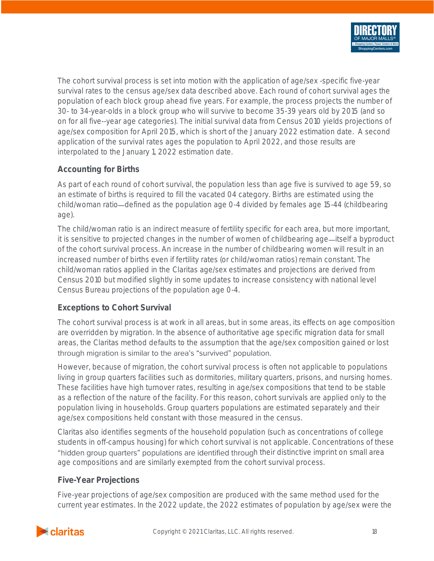

The cohort survival process is set into motion with the application of age/sex -specific five-year survival rates to the census age/sex data described above. Each round of cohort survival ages the population of each block group ahead five years. For example, the process projects the number of 30- to 34-year-olds in a block group who will survive to become 35-39 years old by 2015 (and so on for all five--year age categories). The initial survival data from Census 2010 yields projections of age/sex composition for April 2015, which is short of the January 2022 estimation date. A second application of the survival rates ages the population to April 2022, and those results are interpolated to the January 1, 2022 estimation date.

#### <span id="page-18-0"></span>**Accounting for Births**

As part of each round of cohort survival, the population less than age five is survived to age 59, so an estimate of births is required to fill the vacated 04 category. Births are estimated using the child/woman ratio—defined as the population age 0-4 divided by females age 15-44 (childbearing age).

The child/woman ratio is an indirect measure of fertility specific for each area, but more important, it is sensitive to projected changes in the number of women of childbearing age—itself a byproduct of the cohort survival process. An increase in the number of childbearing women will result in an increased number of births even if fertility rates (or child/woman ratios) remain constant. The child/woman ratios applied in the Claritas age/sex estimates and projections are derived from Census 2010 but modified slightly in some updates to increase consistency with national level Census Bureau projections of the population age 0-4.

#### <span id="page-18-1"></span>**Exceptions to Cohort Survival**

The cohort survival process is at work in all areas, but in some areas, its effects on age composition are overridden by migration. In the absence of authoritative age specific migration data for small areas, the Claritas method defaults to the assumption that the age/sex composition gained or lost through migration is similar to the area's "survived" population.

However, because of migration, the cohort survival process is often not applicable to populations living in group quarters facilities such as dormitories, military quarters, prisons, and nursing homes. These facilities have high turnover rates, resulting in age/sex compositions that tend to be stable as a reflection of the nature of the facility. For this reason, cohort survivals are applied only to the population living in households. Group quarters populations are estimated separately and their age/sex compositions held constant with those measured in the census.

Claritas also identifies segments of the household population (such as concentrations of college students in off-campus housing) for which cohort survival is not applicable. Concentrations of these "hidden group quarters" populations are identified through their distinctive imprint on small area age compositions and are similarly exempted from the cohort survival process.

#### <span id="page-18-2"></span>**Five-Year Projections**

Five-year projections of age/sex composition are produced with the same method used for the current year estimates. In the 2022 update, the 2022 estimates of population by age/sex were the

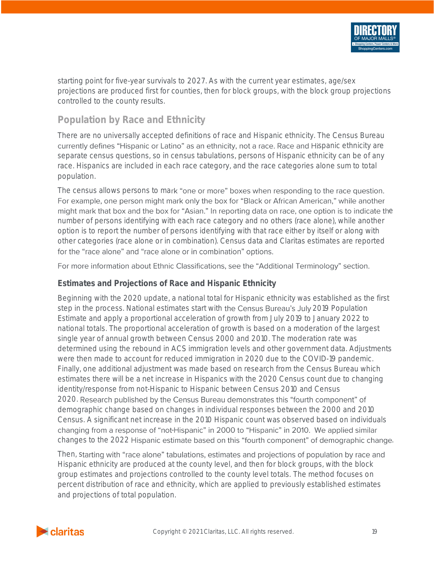

starting point for five-year survivals to 2027. As with the current year estimates, age/sex projections are produced first for counties, then for block groups, with the block group projections controlled to the county results.

# <span id="page-19-0"></span>**Population by Race and Ethnicity**

There are no universally accepted definitions of race and Hispanic ethnicity. The Census Bureau currently defines "Hispanic or Latino" as an ethnicity, not a race. Race and Hispanic ethnicity are separate census questions, so in census tabulations, persons of Hispanic ethnicity can be of any race. Hispanics are included in each race category, and the race categories alone sum to total population.

The census allows persons to mark "one or more" boxes when responding to the race question. For example, one person might mark only the box for "Black or African American," while another might mark that box and the box for "Asian." In reporting data on race, one option is to indicate the number of persons identifying with each race category and no others (race alone), while another option is to report the number of persons identifying with that race either by itself or along with other categories (race alone or in combination). Census data and Claritas estimates are reported for the "race alone" and "race alone or in combination" options.

For more information about Ethnic Classifications, see the "Additional Terminology" section.

#### <span id="page-19-1"></span>**Estimates and Projections of Race and Hispanic Ethnicity**

Beginning with the 2020 update, a national total for Hispanic ethnicity was established as the first step in the process. National estimates start with the Census Bureau's July 2019 Population Estimate and apply a proportional acceleration of growth from July 2019 to January 2022 to national totals. The proportional acceleration of growth is based on a moderation of the largest single year of annual growth between Census 2000 and 2010. The moderation rate was determined using the rebound in ACS immigration levels and other government data. Adjustments were then made to account for reduced immigration in 2020 due to the COVID-19 pandemic. Finally, one additional adjustment was made based on research from the Census Bureau which estimates there will be a net increase in Hispanics with the 2020 Census count due to changing identity/response from not-Hispanic to Hispanic between Census 2010 and Census 2020. Research published by the Census Bureau demonstrates this "fourth component" of demographic change based on changes in individual responses between the 2000 and 2010 Census. A significant net increase in the 2010 Hispanic count was observed based on individuals changing from a response of "not-Hispanic" in 2000 to "Hispanic" in 2010. We applied similar changes to the 2022 Hispanic estimate based on this "fourth component" of demographic change.

Then, starting with "race alone" tabulations, estimates and projections of population by race and Hispanic ethnicity are produced at the county level, and then for block groups, with the block group estimates and projections controlled to the county level totals. The method focuses on percent distribution of race and ethnicity, which are applied to previously established estimates and projections of total population.

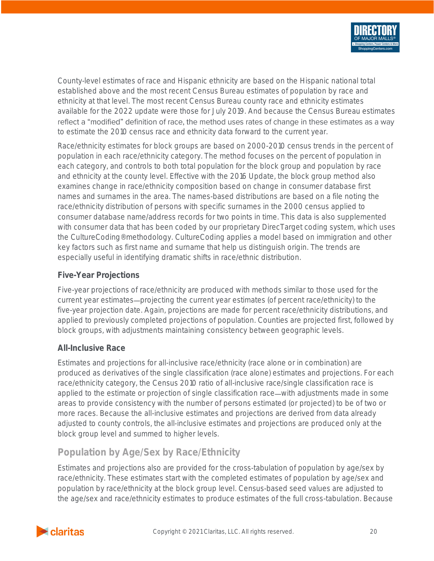

County-level estimates of race and Hispanic ethnicity are based on the Hispanic national total established above and the most recent Census Bureau estimates of population by race and ethnicity at that level. The most recent Census Bureau county race and ethnicity estimates available for the 2022 update were those for July 2019. And because the Census Bureau estimates reflect a "modified" definition of race, the method uses rates of change in these estimates as a way to estimate the 2010 census race and ethnicity data forward to the current year.

Race/ethnicity estimates for block groups are based on 2000-2010 census trends in the percent of population in each race/ethnicity category. The method focuses on the percent of population in each category, and controls to both total population for the block group and population by race and ethnicity at the county level. Effective with the 2016 Update, the block group method also examines change in race/ethnicity composition based on change in consumer database first names and surnames in the area. The names-based distributions are based on a file noting the race/ethnicity distribution of persons with specific surnames in the 2000 census applied to consumer database name/address records for two points in time. This data is also supplemented with consumer data that has been coded by our proprietary DirecTarget coding system, which uses the CultureCoding® methodology. CultureCoding applies a model based on immigration and other key factors such as first name and surname that help us distinguish origin. The trends are especially useful in identifying dramatic shifts in race/ethnic distribution.

#### <span id="page-20-0"></span>**Five-Year Projections**

Five-year projections of race/ethnicity are produced with methods similar to those used for the current year estimates—projecting the current year estimates (of percent race/ethnicity) to the five-year projection date. Again, projections are made for percent race/ethnicity distributions, and applied to previously completed projections of population. Counties are projected first, followed by block groups, with adjustments maintaining consistency between geographic levels.

#### <span id="page-20-1"></span>**All-Inclusive Race**

Estimates and projections for all-inclusive race/ethnicity (race alone or in combination) are produced as derivatives of the single classification (race alone) estimates and projections. For each race/ethnicity category, the Census 2010 ratio of all-inclusive race/single classification race is applied to the estimate or projection of single classification race—with adjustments made in some areas to provide consistency with the number of persons estimated (or projected) to be of two or more races. Because the all-inclusive estimates and projections are derived from data already adjusted to county controls, the all-inclusive estimates and projections are produced only at the block group level and summed to higher levels.

# <span id="page-20-2"></span>**Population by Age/Sex by Race/Ethnicity**

Estimates and projections also are provided for the cross-tabulation of population by age/sex by race/ethnicity. These estimates start with the completed estimates of population by age/sex and population by race/ethnicity at the block group level. Census-based seed values are adjusted to the age/sex and race/ethnicity estimates to produce estimates of the full cross-tabulation. Because

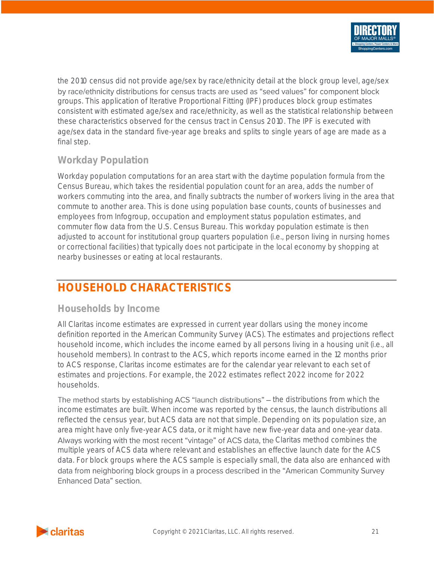

the 2010 census did not provide age/sex by race/ethnicity detail at the block group level, age/sex by race/ethnicity distributions for census tracts are used as "seed values" for component block groups. This application of Iterative Proportional Fitting (IPF) produces block group estimates consistent with estimated age/sex and race/ethnicity, as well as the statistical relationship between these characteristics observed for the census tract in Census 2010. The IPF is executed with age/sex data in the standard five-year age breaks and splits to single years of age are made as a final step.

# <span id="page-21-0"></span>**Workday Population**

Workday population computations for an area start with the daytime population formula from the Census Bureau, which takes the residential population count for an area, adds the number of workers commuting into the area, and finally subtracts the number of workers living in the area that commute to another area. This is done using population base counts, counts of businesses and employees from Infogroup, occupation and employment status population estimates, and commuter flow data from the U.S. Census Bureau. This workday population estimate is then adjusted to account for institutional group quarters population (i.e., person living in nursing homes or correctional facilities) that typically does not participate in the local economy by shopping at nearby businesses or eating at local restaurants.

# <span id="page-21-1"></span>**HOUSEHOLD CHARACTERISTICS**

#### <span id="page-21-2"></span>**Households by Income**

All Claritas income estimates are expressed in current year dollars using the money income definition reported in the American Community Survey (ACS). The estimates and projections reflect household income, which includes the income earned by all persons living in a housing unit (i.e., all household members). In contrast to the ACS, which reports income earned in the 12 months prior to ACS response, Claritas income estimates are for the calendar year relevant to each set of estimates and projections. For example, the 2022 estimates reflect 2022 income for 2022 households.

The method starts by establishing ACS "launch distributions" – the distributions from which the income estimates are built. When income was reported by the census, the launch distributions all reflected the census year, but ACS data are not that simple. Depending on its population size, an area might have only five-year ACS data, or it might have new five-year data and one-year data. Always working with the most recent "vintage" of ACS data, the Claritas method combines the multiple years of ACS data where relevant and establishes an effective launch date for the ACS data. For block groups where the ACS sample is especially small, the data also are enhanced with data from neighboring block groups in a process described in the "American Community Survey" **Enhanced Data" section.** 

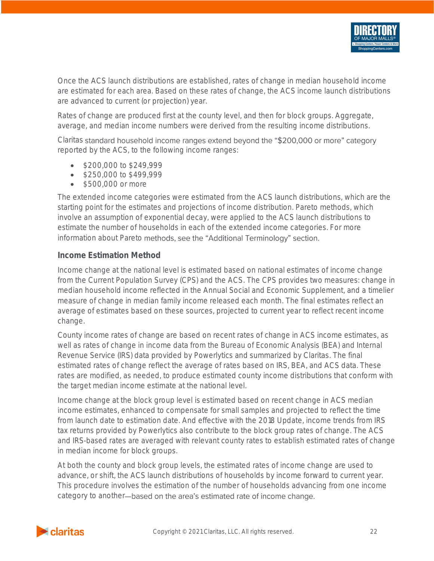

Once the ACS launch distributions are established, rates of change in median household income are estimated for each area. Based on these rates of change, the ACS income launch distributions are advanced to current (or projection) year.

Rates of change are produced first at the county level, and then for block groups. Aggregate, average, and median income numbers were derived from the resulting income distributions.

Claritas standard household income ranges extend beyond the "\$200,000 or more" category reported by the ACS, to the following income ranges:

- \$200,000 to \$249,999
- \$250,000 to \$499,999
- \$500,000 or more

The extended income categories were estimated from the ACS launch distributions, which are the starting point for the estimates and projections of income distribution. Pareto methods, which involve an assumption of exponential decay, were applied to the ACS launch distributions to estimate the number of households in each of the extended income categories. For more information about Pareto methods, see the "Additional Terminology" section.

#### <span id="page-22-0"></span>**Income Estimation Method**

Income change at the national level is estimated based on national estimates of income change from the Current Population Survey (CPS) and the ACS. The CPS provides two measures: change in median household income reflected in the Annual Social and Economic Supplement, and a timelier measure of change in median family income released each month. The final estimates reflect an average of estimates based on these sources, projected to current year to reflect recent income change.

County income rates of change are based on recent rates of change in ACS income estimates, as well as rates of change in income data from the Bureau of Economic Analysis (BEA) and Internal Revenue Service (IRS) data provided by Powerlytics and summarized by Claritas. The final estimated rates of change reflect the average of rates based on IRS, BEA, and ACS data. These rates are modified, as needed, to produce estimated county income distributions that conform with the target median income estimate at the national level.

Income change at the block group level is estimated based on recent change in ACS median income estimates, enhanced to compensate for small samples and projected to reflect the time from launch date to estimation date. And effective with the 2018 Update, income trends from IRS tax returns provided by Powerlytics also contribute to the block group rates of change. The ACS and IRS-based rates are averaged with relevant county rates to establish estimated rates of change in median income for block groups.

At both the county and block group levels, the estimated rates of income change are used to advance, or shift, the ACS launch distributions of households by income forward to current year. This procedure involves the estimation of the number of households advancing from one income category to another-based on the area's estimated rate of income change.

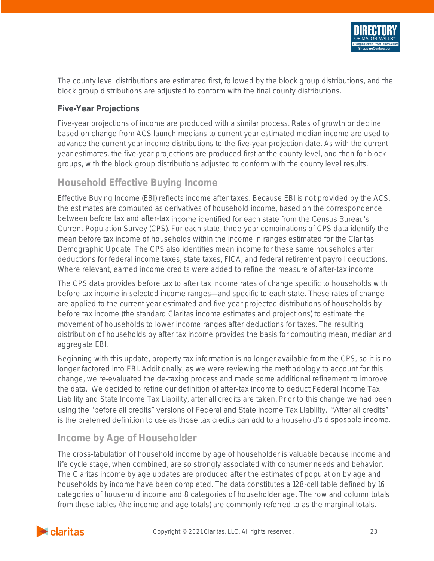

The county level distributions are estimated first, followed by the block group distributions, and the block group distributions are adjusted to conform with the final county distributions.

#### <span id="page-23-0"></span>**Five-Year Projections**

Five-year projections of income are produced with a similar process. Rates of growth or decline based on change from ACS launch medians to current year estimated median income are used to advance the current year income distributions to the five-year projection date. As with the current year estimates, the five-year projections are produced first at the county level, and then for block groups, with the block group distributions adjusted to conform with the county level results.

### <span id="page-23-1"></span>**Household Effective Buying Income**

Effective Buying Income (EBI) reflects income after taxes. Because EBI is not provided by the ACS, the estimates are computed as derivatives of household income, based on the correspondence between before tax and after-tax income identified for each state from the Census Bureau's Current Population Survey (CPS). For each state, three year combinations of CPS data identify the mean before tax income of households within the income in ranges estimated for the Claritas Demographic Update. The CPS also identifies mean income for these same households after deductions for federal income taxes, state taxes, FICA, and federal retirement payroll deductions. Where relevant, earned income credits were added to refine the measure of after-tax income.

The CPS data provides before tax to after tax income rates of change specific to households with before tax income in selected income ranges—and specific to each state. These rates of change are applied to the current year estimated and five year projected distributions of households by before tax income (the standard Claritas income estimates and projections) to estimate the movement of households to lower income ranges after deductions for taxes. The resulting distribution of households by after tax income provides the basis for computing mean, median and aggregate EBI.

Beginning with this update, property tax information is no longer available from the CPS, so it is no longer factored into EBI. Additionally, as we were reviewing the methodology to account for this change, we re-evaluated the de-taxing process and made some additional refinement to improve the data. We decided to refine our definition of after-tax income to deduct Federal Income Tax Liability and State Income Tax Liability, after all credits are taken. Prior to this change we had been using the "before all credits" versions of Federal and State Income Tax Liability. "After all credits" is the preferred definition to use as those tax credits can add to a household's disposable income.

### <span id="page-23-2"></span>**Income by Age of Householder**

The cross-tabulation of household income by age of householder is valuable because income and life cycle stage, when combined, are so strongly associated with consumer needs and behavior. The Claritas income by age updates are produced after the estimates of population by age and households by income have been completed. The data constitutes a 128-cell table defined by 16 categories of household income and 8 categories of householder age. The row and column totals from these tables (the income and age totals) are commonly referred to as the marginal totals.

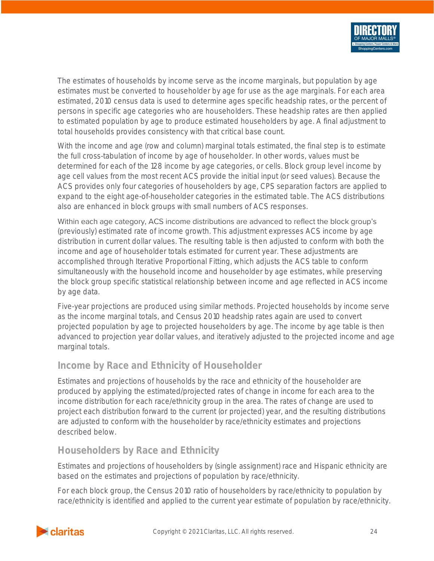

The estimates of households by income serve as the income marginals, but population by age estimates must be converted to householder by age for use as the age marginals. For each area estimated, 2010 census data is used to determine ages specific headship rates, or the percent of persons in specific age categories who are householders. These headship rates are then applied to estimated population by age to produce estimated householders by age. A final adjustment to total households provides consistency with that critical base count.

With the income and age (row and column) marginal totals estimated, the final step is to estimate the full cross-tabulation of income by age of householder. In other words, values must be determined for each of the 128 income by age categories, or cells. Block group level income by age cell values from the most recent ACS provide the initial input (or seed values). Because the ACS provides only four categories of householders by age, CPS separation factors are applied to expand to the eight age-of-householder categories in the estimated table. The ACS distributions also are enhanced in block groups with small numbers of ACS responses.

Within each age category, ACS income distributions are advanced to reflect the block group's (previously) estimated rate of income growth. This adjustment expresses ACS income by age distribution in current dollar values. The resulting table is then adjusted to conform with both the income and age of householder totals estimated for current year. These adjustments are accomplished through Iterative Proportional Fitting, which adjusts the ACS table to conform simultaneously with the household income and householder by age estimates, while preserving the block group specific statistical relationship between income and age reflected in ACS income by age data.

Five-year projections are produced using similar methods. Projected households by income serve as the income marginal totals, and Census 2010 headship rates again are used to convert projected population by age to projected householders by age. The income by age table is then advanced to projection year dollar values, and iteratively adjusted to the projected income and age marginal totals.

# <span id="page-24-0"></span>**Income by Race and Ethnicity of Householder**

Estimates and projections of households by the race and ethnicity of the householder are produced by applying the estimated/projected rates of change in income for each area to the income distribution for each race/ethnicity group in the area. The rates of change are used to project each distribution forward to the current (or projected) year, and the resulting distributions are adjusted to conform with the householder by race/ethnicity estimates and projections described below.

# <span id="page-24-1"></span>**Householders by Race and Ethnicity**

Estimates and projections of householders by (single assignment) race and Hispanic ethnicity are based on the estimates and projections of population by race/ethnicity.

For each block group, the Census 2010 ratio of householders by race/ethnicity to population by race/ethnicity is identified and applied to the current year estimate of population by race/ethnicity.

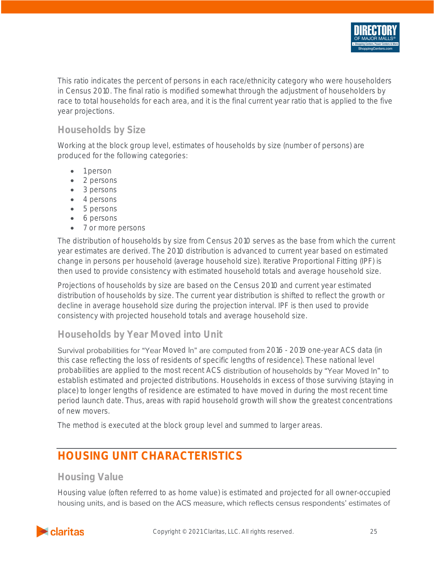

This ratio indicates the percent of persons in each race/ethnicity category who were householders in Census 2010. The final ratio is modified somewhat through the adjustment of householders by race to total households for each area, and it is the final current year ratio that is applied to the five year projections.

### <span id="page-25-0"></span>**Households by Size**

Working at the block group level, estimates of households by size (number of persons) are produced for the following categories:

- 1 person
- 2 persons
- 3 persons
- 4 persons
- 5 persons
- 6 persons
- 7 or more persons

The distribution of households by size from Census 2010 serves as the base from which the current year estimates are derived. The 2010 distribution is advanced to current year based on estimated change in persons per household (average household size). Iterative Proportional Fitting (IPF) is then used to provide consistency with estimated household totals and average household size.

Projections of households by size are based on the Census 2010 and current year estimated distribution of households by size. The current year distribution is shifted to reflect the growth or decline in average household size during the projection interval. IPF is then used to provide consistency with projected household totals and average household size.

### <span id="page-25-1"></span>**Households by Year Moved into Unit**

Survival probabilities for "Year Moved In" are computed from 2016 - 2019 one-year ACS data (in this case reflecting the loss of residents of specific lengths of residence). These national level probabilities are applied to the most recent ACS distribution of households by "Year Moved In" to establish estimated and projected distributions. Households in excess of those surviving (staying in place) to longer lengths of residence are estimated to have moved in during the most recent time period launch date. Thus, areas with rapid household growth will show the greatest concentrations of new movers.

The method is executed at the block group level and summed to larger areas.

# <span id="page-25-2"></span>**HOUSING UNIT CHARACTERISTICS**

# <span id="page-25-3"></span>**Housing Value**

Housing value (often referred to as home value) is estimated and projected for all owner-occupiedhousing units, and is based on the ACS measure, which reflects census respondents' estimates of

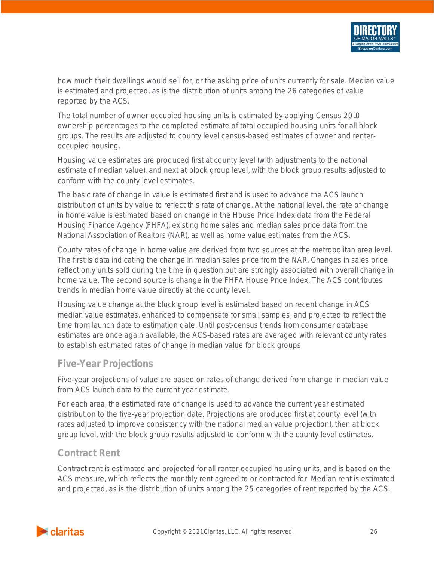

how much their dwellings would sell for, or the asking price of units currently for sale. Median value is estimated and projected, as is the distribution of units among the 26 categories of value reported by the ACS.

The total number of owner-occupied housing units is estimated by applying Census 2010 ownership percentages to the completed estimate of total occupied housing units for all block groups. The results are adjusted to county level census-based estimates of owner and renteroccupied housing.

Housing value estimates are produced first at county level (with adjustments to the national estimate of median value), and next at block group level, with the block group results adjusted to conform with the county level estimates.

The basic rate of change in value is estimated first and is used to advance the ACS launch distribution of units by value to reflect this rate of change. At the national level, the rate of change in home value is estimated based on change in the House Price Index data from the Federal Housing Finance Agency (FHFA), existing home sales and median sales price data from the National Association of Realtors (NAR), as well as home value estimates from the ACS.

County rates of change in home value are derived from two sources at the metropolitan area level. The first is data indicating the change in median sales price from the NAR. Changes in sales price reflect only units sold during the time in question but are strongly associated with overall change in home value. The second source is change in the FHFA House Price Index. The ACS contributes trends in median home value directly at the county level.

Housing value change at the block group level is estimated based on recent change in ACS median value estimates, enhanced to compensate for small samples, and projected to reflect the time from launch date to estimation date. Until post-census trends from consumer database estimates are once again available, the ACS-based rates are averaged with relevant county rates to establish estimated rates of change in median value for block groups.

### <span id="page-26-0"></span>**Five-Year Projections**

Five-year projections of value are based on rates of change derived from change in median value from ACS launch data to the current year estimate.

For each area, the estimated rate of change is used to advance the current year estimated distribution to the five-year projection date. Projections are produced first at county level (with rates adjusted to improve consistency with the national median value projection), then at block group level, with the block group results adjusted to conform with the county level estimates.

# <span id="page-26-1"></span>**Contract Rent**

Contract rent is estimated and projected for all renter-occupied housing units, and is based on the ACS measure, which reflects the monthly rent agreed to or contracted for. Median rent is estimated and projected, as is the distribution of units among the 25 categories of rent reported by the ACS.

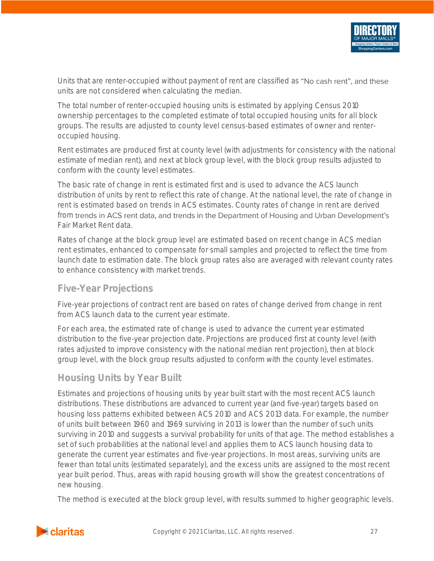

Units that are renter-occupied without payment of rent are classified as "No cash rent", and these units are not considered when calculating the median.

The total number of renter-occupied housing units is estimated by applying Census 2010 ownership percentages to the completed estimate of total occupied housing units for all block groups. The results are adjusted to county level census-based estimates of owner and renteroccupied housing.

Rent estimates are produced first at county level (with adjustments for consistency with the national estimate of median rent), and next at block group level, with the block group results adjusted to conform with the county level estimates.

The basic rate of change in rent is estimated first and is used to advance the ACS launch distribution of units by rent to reflect this rate of change. At the national level, the rate of change in rent is estimated based on trends in ACS estimates. County rates of change in rent are derived from trends in ACS rent data, and trends in the Department of Housing and Urban Development's Fair Market Rent data.

Rates of change at the block group level are estimated based on recent change in ACS median rent estimates, enhanced to compensate for small samples and projected to reflect the time from launch date to estimation date. The block group rates also are averaged with relevant county rates to enhance consistency with market trends.

### <span id="page-27-0"></span>**Five-Year Projections**

Five-year projections of contract rent are based on rates of change derived from change in rent from ACS launch data to the current year estimate.

For each area, the estimated rate of change is used to advance the current year estimated distribution to the five-year projection date. Projections are produced first at county level (with rates adjusted to improve consistency with the national median rent projection), then at block group level, with the block group results adjusted to conform with the county level estimates.

### <span id="page-27-1"></span>**Housing Units by Year Built**

Estimates and projections of housing units by year built start with the most recent ACS launch distributions. These distributions are advanced to current year (and five-year) targets based on housing loss patterns exhibited between ACS 2010 and ACS 2013 data. For example, the number of units built between 1960 and 1969 surviving in 2013 is lower than the number of such units surviving in 2010 and suggests a survival probability for units of that age. The method establishes a set of such probabilities at the national level and applies them to ACS launch housing data to generate the current year estimates and five-year projections. In most areas, surviving units are fewer than total units (estimated separately), and the excess units are assigned to the most recent year built period. Thus, areas with rapid housing growth will show the greatest concentrations of new housing.

The method is executed at the block group level, with results summed to higher geographic levels.

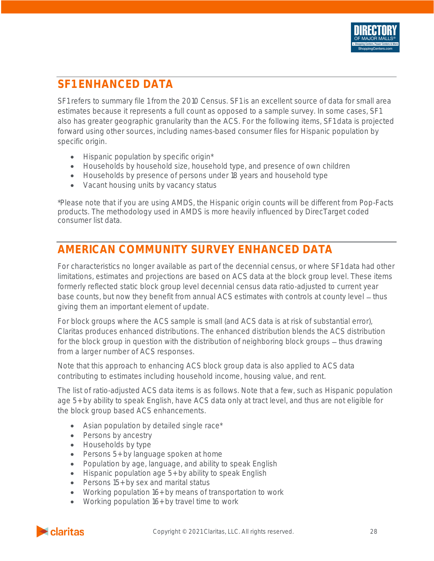# <span id="page-28-0"></span>**SF1 ENHANCED DATA**

SF1 refers to summary file 1 from the 2010 Census. SF1 is an excellent source of data for small area estimates because it represents a full count as opposed to a sample survey. In some cases, SF1 also has greater geographic granularity than the ACS. For the following items, SF1 data is projected forward using other sources, including names-based consumer files for Hispanic population by specific origin.

- Hispanic population by specific origin\*
- Households by household size, household type, and presence of own children
- Households by presence of persons under 18 years and household type
- Vacant housing units by vacancy status

\*Please note that if you are using AMDS, the Hispanic origin counts will be different from Pop-Facts products. The methodology used in AMDS is more heavily influenced by DirecTarget coded consumer list data.

# <span id="page-28-1"></span>**AMERICAN COMMUNITY SURVEY ENHANCED DATA**

For characteristics no longer available as part of the decennial census, or where SF1 data had other limitations, estimates and projections are based on ACS data at the block group level. These items formerly reflected static block group level decennial census data ratio-adjusted to current year base counts, but now they benefit from annual ACS estimates with controls at county level – thus giving them an important element of update.

For block groups where the ACS sample is small (and ACS data is at risk of substantial error), Claritas produces enhanced distributions. The enhanced distribution blends the ACS distribution for the block group in question with the distribution of neighboring block groups - thus drawing from a larger number of ACS responses.

Note that this approach to enhancing ACS block group data is also applied to ACS data contributing to estimates including household income, housing value, and rent.

The list of ratio-adjusted ACS data items is as follows. Note that a few, such as Hispanic population age 5+ by ability to speak English, have ACS data only at tract level, and thus are not eligible for the block group based ACS enhancements.

- Asian population by detailed single race\*
- Persons by ancestry
- Households by type
- Persons 5+ by language spoken at home
- Population by age, language, and ability to speak English
- Hispanic population age 5+ by ability to speak English
- Persons 15+ by sex and marital status
- Working population 16+ by means of transportation to work
- Working population 16+ by travel time to work

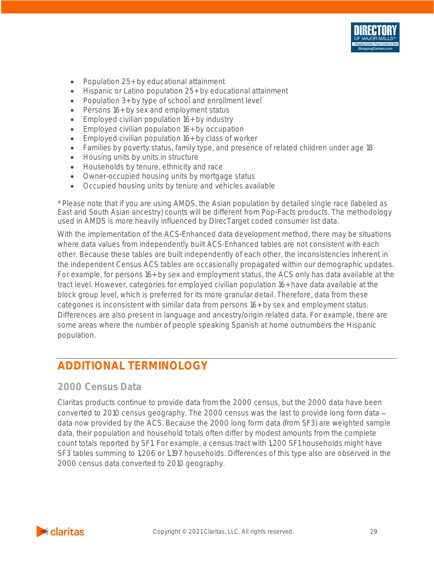

- Population 25+ by educational attainment
- Hispanic or Latino population 25+ by educational attainment
- Population 3+ by type of school and enrollment level
- Persons 16+ by sex and employment status
- Employed civilian population 16+ by industry
- Employed civilian population 16+ by occupation
- Employed civilian population 16+ by class of worker
- Families by poverty status, family type, and presence of related children under age 18
- Housing units by units in structure
- Households by tenure, ethnicity and race
- Owner-occupied housing units by mortgage status
- Occupied housing units by tenure and vehicles available

\* Please note that if you are using AMDS, the Asian population by detailed single race (labeled as East and South Asian ancestry) counts will be different from Pop-Facts products. The methodology used in AMDS is more heavily influenced by DirecTarget coded consumer list data.

With the implementation of the ACS-Enhanced data development method, there may be situations where data values from independently built ACS-Enhanced tables are not consistent with each other. Because these tables are built independently of each other, the inconsistencies inherent in the independent Census ACS tables are occasionally propagated within our demographic updates. For example, for persons 16+ by sex and employment status, the ACS only has data available at the tract level. However, categories for employed civilian population 16+ have data available at the block group level, which is preferred for its more granular detail. Therefore, data from these categories is inconsistent with similar data from persons 16+ by sex and employment status. Differences are also present in language and ancestry/origin related data. For example, there are some areas where the number of people speaking Spanish at home outnumbers the Hispanic population.

# <span id="page-29-0"></span>**ADDITIONAL TERMINOLOGY**

### <span id="page-29-1"></span>**2000 Census Data**

Claritas products continue to provide data from the 2000 census, but the 2000 data have been converted to 2010 census geography. The 2000 census was the last to provide long form data data now provided by the ACS. Because the 2000 long form data (from SF3) are weighted sample data, their population and household totals often differ by modest amounts from the complete count totals reported by SF1. For example, a census tract with 1,200 SF1 households might have SF3 tables summing to 1,206 or 1,197 households. Differences of this type also are observed in the 2000 census data converted to 2010 geography.

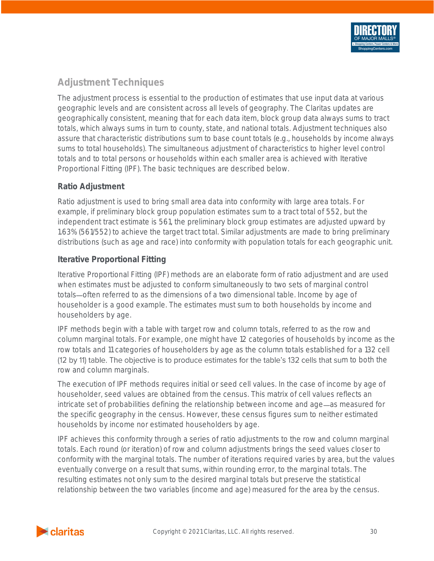# <span id="page-30-0"></span>**Adjustment Techniques**

The adjustment process is essential to the production of estimates that use input data at various geographic levels and are consistent across all levels of geography. The Claritas updates are geographically consistent, meaning that for each data item, block group data always sums to tract totals, which always sums in turn to county, state, and national totals. Adjustment techniques also assure that characteristic distributions sum to base count totals (e.g., households by income always sums to total households). The simultaneous adjustment of characteristics to higher level control totals and to total persons or households within each smaller area is achieved with Iterative Proportional Fitting (IPF). The basic techniques are described below.

#### <span id="page-30-1"></span>**Ratio Adjustment**

Ratio adjustment is used to bring small area data into conformity with large area totals. For example, if preliminary block group population estimates sum to a tract total of 552, but the independent tract estimate is 561, the preliminary block group estimates are adjusted upward by 1.63% (561/552) to achieve the target tract total. Similar adjustments are made to bring preliminary distributions (such as age and race) into conformity with population totals for each geographic unit.

#### <span id="page-30-2"></span>**Iterative Proportional Fitting**

Iterative Proportional Fitting (IPF) methods are an elaborate form of ratio adjustment and are used when estimates must be adjusted to conform simultaneously to two sets of marginal control totals—often referred to as the dimensions of a two dimensional table. Income by age of householder is a good example. The estimates must sum to both households by income and householders by age.

IPF methods begin with a table with target row and column totals, referred to as the row and column marginal totals. For example, one might have 12 categories of households by income as the row totals and 11 categories of householders by age as the column totals established for a 132 cell (12 by 11) table. The objective is to produce estimates for the table's 132 cells that sum to both the row and column marginals.

The execution of IPF methods requires initial or seed cell values. In the case of income by age of householder, seed values are obtained from the census. This matrix of cell values reflects an intricate set of probabilities defining the relationship between income and age—as measured for the specific geography in the census. However, these census figures sum to neither estimated households by income nor estimated householders by age.

IPF achieves this conformity through a series of ratio adjustments to the row and column marginal totals. Each round (or iteration) of row and column adjustments brings the seed values closer to conformity with the marginal totals. The number of iterations required varies by area, but the values eventually converge on a result that sums, within rounding error, to the marginal totals. The resulting estimates not only sum to the desired marginal totals but preserve the statistical relationship between the two variables (income and age) measured for the area by the census.

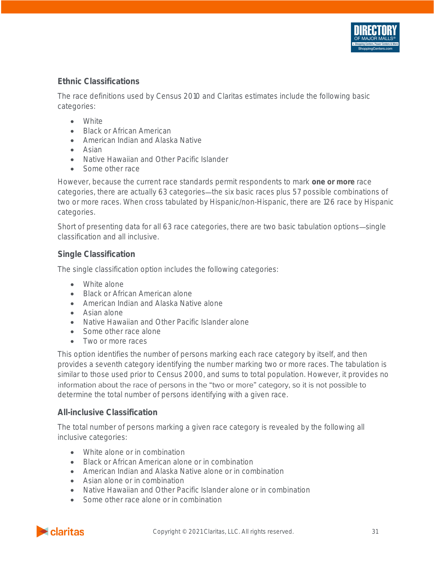#### <span id="page-31-0"></span>**Ethnic Classifications**

The race definitions used by Census 2010 and Claritas estimates include the following basic categories:

- White
- Black or African American
- American Indian and Alaska Native
- Asian
- Native Hawaiian and Other Pacific Islander
- Some other race

However, because the current race standards permit respondents to mark *one or more* race categories, there are actually 63 categories—the six basic races plus 57 possible combinations of two or more races. When cross tabulated by Hispanic/non-Hispanic, there are 126 race by Hispanic categories.

Short of presenting data for all 63 race categories, there are two basic tabulation options—single classification and all inclusive.

#### <span id="page-31-1"></span>**Single Classification**

The single classification option includes the following categories:

- White alone
- Black or African American alone
- American Indian and Alaska Native alone
- Asian alone
- Native Hawaiian and Other Pacific Islander alone
- Some other race alone
- Two or more races

This option identifies the number of persons marking each race category by itself, and then provides a seventh category identifying the number marking two or more races. The tabulation is similar to those used prior to Census 2000, and sums to total population. However, it provides no information about the race of persons in the "two or more" category, so it is not possible to determine the total number of persons identifying with a given race.

#### <span id="page-31-2"></span>**All-inclusive Classification**

The total number of persons marking a given race category is revealed by the following all inclusive categories:

- White alone or in combination
- Black or African American alone or in combination
- American Indian and Alaska Native alone or in combination
- Asian alone or in combination
- Native Hawaiian and Other Pacific Islander alone or in combination
- Some other race alone or in combination

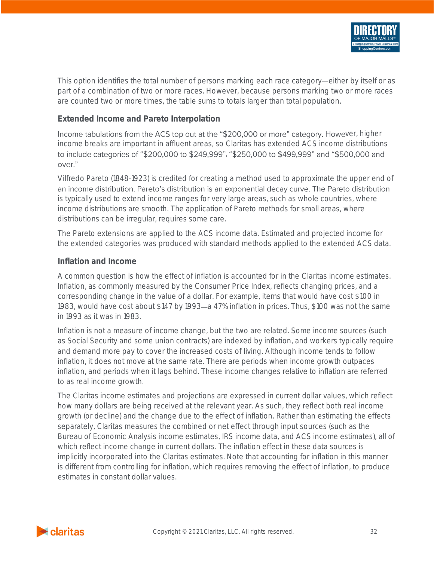

This option identifies the total number of persons marking each race category—either by itself or as part of a combination of two or more races. However, because persons marking two or more races are counted two or more times, the table sums to totals larger than total population.

#### <span id="page-32-0"></span>**Extended Income and Pareto Interpolation**

Income tabulations from the ACS top out at the "\$200,000 or more" category. However, higher income breaks are important in affluent areas, so Claritas has extended ACS income distributions to include categories of "\$200,000 to \$249,999", "\$250,000 to \$499,999" and "\$500,000 and over."

Vilfredo Pareto (1848-1923) is credited for creating a method used to approximate the upper end of an income distribution. Pareto's distribution is an exponential decay curve. The Pareto distribution is typically used to extend income ranges for very large areas, such as whole countries, where income distributions are smooth. The application of Pareto methods for small areas, where distributions can be irregular, requires some care.

The Pareto extensions are applied to the ACS income data. Estimated and projected income for the extended categories was produced with standard methods applied to the extended ACS data.

#### <span id="page-32-1"></span>**Inflation and Income**

A common question is how the effect of inflation is accounted for in the Claritas income estimates. Inflation, as commonly measured by the Consumer Price Index, reflects changing prices, and a corresponding change in the value of a dollar. For example, items that would have cost \$100 in 1983, would have cost about \$147 by 1993-a 47% inflation in prices. Thus, \$100 was not the same in 1993 as it was in 1983.

Inflation is not a measure of income change, but the two are related. Some income sources (such as Social Security and some union contracts) are indexed by inflation, and workers typically require and demand more pay to cover the increased costs of living. Although income tends to follow inflation, it does not move at the same rate. There are periods when income growth outpaces inflation, and periods when it lags behind. These income changes relative to inflation are referred to as real income growth.

The Claritas income estimates and projections are expressed in current dollar values, which reflect how many dollars are being received at the relevant year. As such, they reflect both real income growth (or decline) and the change due to the effect of inflation. Rather than estimating the effects separately, Claritas measures the combined or net effect through input sources (such as the Bureau of Economic Analysis income estimates, IRS income data, and ACS income estimates), all of which reflect income change in current dollars. The inflation effect in these data sources is implicitly incorporated into the Claritas estimates. Note that accounting for inflation in this manner is different from controlling for inflation, which requires removing the effect of inflation, to produce estimates in constant dollar values.